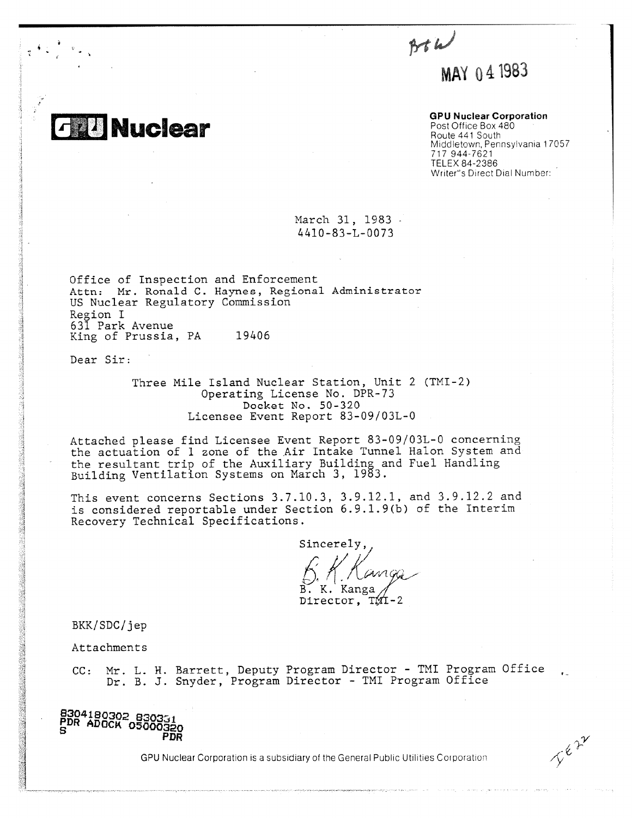$864$ MAY 04 1983

**GPU Nuclear Corporation**

Post Office Box 480 Route 441 South Middletown, Pennsylvania 17057 717 944-7621 TELEX 84-2386 Writer's Direct Dial Number:

March 31, 1983 4410-83-L-0073

Office of Inspection and Enforcement Attn: Mr. Ronald C. Haynes, Regional Administrator US Nuclear Regulatory Commission Region I 631 Park Avenue King of Prussia, PA 19406

Dear Sir:

**Nuclear** 

Three Mile Island Nuclear Station, Unit 2 (TMI-2) Operating License No. DPR-73 Docket No. 50-320 Licensee Event Report 83-09/03L-0

Attached please find Licensee Event Report 83-09/03L-0 concerning the actuation of 1 zone of the Air Intake Tunnel Halon System and the resultant trip of the Auxiliary Building and Fuel Handling Building Ventilation Systems on March 3, 1983.

This event concerns Sections 3.7.10.3, 3.9.12.1, and 3.9.12.2 and is considered reportable under Section 6.9.1.9(b) of the Interim Recovery Technical Specifications.

Sincerely,. B. K. Kanga

Director, TMI-2

BKK/SDC/jep

Attachments

CC: Mr. L. H. Barrett, Deputy Program Director - TMI Program Office Dr. B. J. Snyder, Program Director - TMI Program Office

**8304180302 83031** • **PDR ADOCK 05000320 PDR**

GPU Nuclear Corporation is a subsidiary of the General Public Utilities Corporation

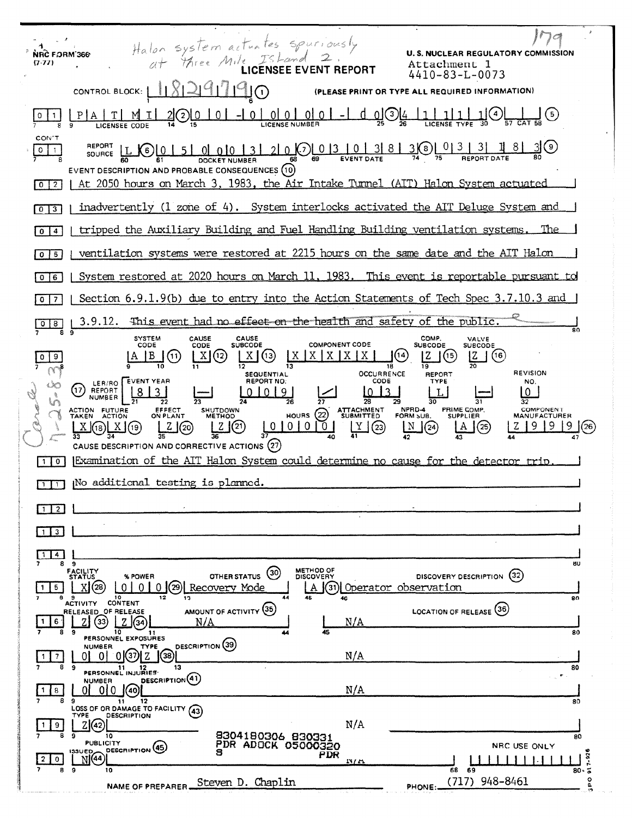| NRC FORM 366<br>$(7-77)$       | Halon system actuates spuriously<br>at three Mile IsLand 2.                                                                                                                                                                | <b>U.S. NUCLEAR REGULATORY COMMISSION</b><br>Attachment 1<br>$4410 - 83 - L - 0073$ |
|--------------------------------|----------------------------------------------------------------------------------------------------------------------------------------------------------------------------------------------------------------------------|-------------------------------------------------------------------------------------|
|                                | CONTROL BLOCK:  <br>(PLEASE PRINT OR TYPE ALL REQUIRED INFORMATION)                                                                                                                                                        |                                                                                     |
|                                | $-1000000-1$<br><u>_d_o]</u> O <u>l4</u><br>(2)                                                                                                                                                                            | $\frac{1}{\text{CAT } 58}$ (5)                                                      |
| CON'T<br>$0$ $1$               | EVENT DESCRIPTION AND PROBABLE CONSEQUENCES (10)                                                                                                                                                                           |                                                                                     |
| -2<br>$\circ$                  | At 2050 hours on March 3, 1983, the Air Intake Tunnel (AIT) Halon System actuated                                                                                                                                          |                                                                                     |
| 3<br>$\mathbf 0$               | inadvertently (1 zone of 4). System interlocks activated the AIT Deluge System and                                                                                                                                         |                                                                                     |
| $\overline{\mathbf{4}}$<br>0   | tripped the Auxiliary Building and Fuel Handling Building ventilation systems.                                                                                                                                             | The                                                                                 |
| 5<br>$\circ$                   | ventilation systems were restored at 2215 hours on the same date and the AIT Halon                                                                                                                                         |                                                                                     |
| 6<br>$\Omega$                  | System restored at 2020 hours on March 11, 1983. This event is reportable pursuant to                                                                                                                                      |                                                                                     |
| $\overline{7}$<br>$\mathbf{o}$ | Section 6.9.1.9(b) due to entry into the Action Statements of Tech Spec 3.7.10.3 and                                                                                                                                       |                                                                                     |
|                                | 3.9.12. This event had no effect on the health and safety of the public.                                                                                                                                                   |                                                                                     |
|                                | CAUSE<br>COMP.<br><b>SYSTEM</b><br>CAUSE<br><b>COMPONENT CODE</b><br><b>SUBCODE</b><br>CODE<br><b>SUBCODE</b><br>CODE<br>$X$ $X$ $X$ $X$<br>(13)<br>[14]<br> B <br>(11)<br>X(12)<br><b>OCCURRENCE</b><br><b>SEQUENTIAL</b> | <b>VALVE</b><br>SUBCODE<br>(16)<br>(15<br><b>REVISION</b><br><b>REPORT</b>          |
|                                | <b>REPORT NO:</b><br>CODE<br>LER/RO EVENT YEAR<br>(17)<br>REPORT<br>NUMBER<br>NPRD-4<br>SHUTDOWN<br>HOURS (22) ATTACHMENT<br>ACTION FUTURE<br>TAKEN ACTION<br><b>EFFECT</b><br>ON PLANT<br>FORM SUB.<br><b>METHOD</b>      | TYPE<br>NO.<br>PRIME COMP.<br>COMPONENT<br><b>SUPPLIER</b><br><b>MANUFACTURER</b>   |
|                                | 2(2)<br>$Z(\text{20})$<br>Y<br>(23)<br>(24)<br>X(18)X(19)<br>CAUSE DESCRIPTION AND CORRECTIVE ACTIONS (27)                                                                                                                 | (25)<br>(26)                                                                        |
| $\circ$                        | Examination of the AIT Halon System could determine no cause for the detector trip                                                                                                                                         |                                                                                     |
|                                | $\Box$ No additional testing is planned.                                                                                                                                                                                   |                                                                                     |
| $\overline{2}$                 |                                                                                                                                                                                                                            |                                                                                     |
| 3                              |                                                                                                                                                                                                                            |                                                                                     |
| 4                              | 89<br>METHOD OF<br><b>FACILITY</b>                                                                                                                                                                                         | 80                                                                                  |
| 5<br>8                         | (30)<br>OTHER STATUS<br>% POWER<br><b>DISCOVERY</b><br><b>STATUS</b><br>Recovery Mode<br>Operator observation<br>0<br>31<br>10<br>12<br>44<br>э<br>13<br>46<br><b>CONTENT</b><br><b>ACTIVITY</b>                           | (32)<br>DISCOVERY DESCRIPTION<br>80                                                 |
| 6<br>8                         | AMOUNT OF ACTIVITY (35)<br>RELEASED OF RELEASE<br>N/A<br>N/A<br>33<br>34<br>10<br>45<br>э<br>11                                                                                                                            | (36)<br><b>LOCATION OF RELEASE</b><br>80                                            |
| 8                              | PERSONNEL EXPOSURES<br>DESCRIPTION (39)<br>NUMBER.<br>TYPE<br>N/A<br>37<br>0<br>[38]<br>0<br>13<br>9<br>11                                                                                                                 | 80                                                                                  |
| 8<br>8                         | PERSONNEL INJURIES<br>DESCRIPTION <sup>(41)</sup><br><b>NUMBER</b><br>N/A<br>010<br>40<br>9<br>12<br>11                                                                                                                    | 80                                                                                  |
| 9                              | LOSS OF OR DAMAGE TO FACILITY<br>(43)<br><b>DESCRIPTION</b><br>TYPE<br>N/A<br>Z(42)                                                                                                                                        |                                                                                     |
| 0                              | 8304180306 830331<br>10<br>9<br><b>PUBLICITY</b><br><b>PDR ADOCK 05000320</b><br>DESCRIPTION <sup>(45)</sup><br><b>133UED</b><br>S<br>PDR<br>N(44)<br>N/L                                                                  | 80<br>NRC USE ONLY<br>۰<br>$7 - 92$                                                 |
| 8                              | 9<br>10<br>Steven D. Chaplin<br><b>NAME OF PREPARER</b><br>PHONE:                                                                                                                                                          | $80 - 5$<br>68<br>69<br>o<br>L<br>(717) 948-8461<br>$\mathbf{r}$                    |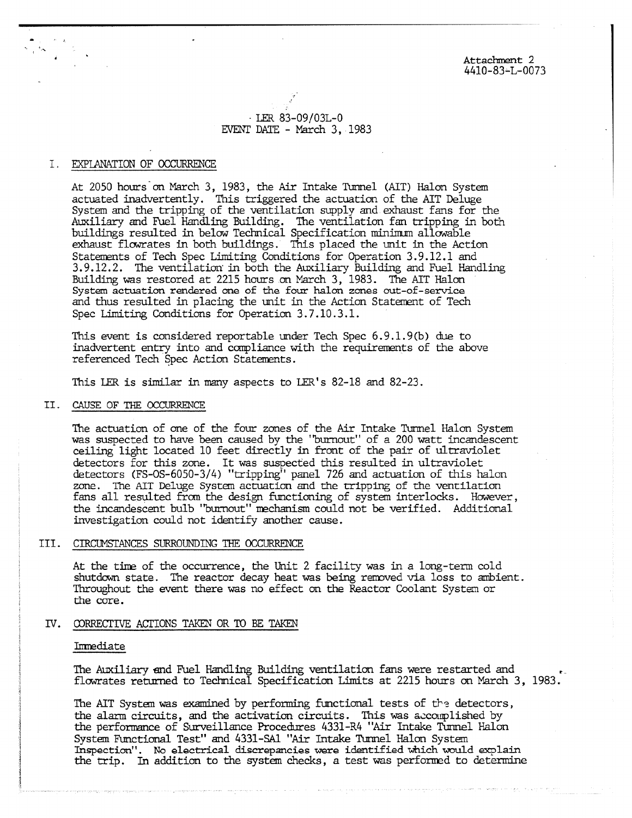Attachment 2 4410-83-L-0073

# $\cdot$  LER 83-09/03L-0 EVENT DATE - March 3, 1983

# I. EXPLANATION OF OCCURRENCE

 $\frac{1}{\sqrt{2}}\sum_{i=1}^{N} \frac{K_{i}^{2}}{2} \frac{K_{i}^{2}}{2}$ 

At 2050 hours on March 3, 1983, the Air Intake Tunnel (AIT) Halon System actuated inadvertently. This triggered the actuation of the AIT Deluge System and the tripping of the ventilation supply and exhaust fans for the Auxiliary and Fuel Handling Building. The ventilation fan tripping in both buildings resulted in below Technical Specification minimum allowable exhaust flowrates in both buildings. This placed the unit in the Action Statements of Tech Spec Limiting Conditions for Operation 3.9.12.1 and 3.9.12.2. The ventilation in both the Auxiliary Building and Fuel Handling Building was restored at 2215 hours on March 3, 1983. The AIT Halon System actuation rendered one of the four halon zones cut-of-service and thus resulted in placing the unit in the Action Statement of Tech Spec Limiting Conditions for Operation 3.7.10.3.1.

This event is considered reportable under Tech Spec  $6.9.1.9(b)$  due to inadvertent entry into and compliance with the requirements of the above referenced Tech Spec Action Statements.

This LER is similar in many aspects to LER's 82-18 and 82-23.

# II. CAUSE OF THE OCCURRENCE

The actuation of one of the four zones of the Air Intake Tunnel Halon System was suspected to have been caused by the "burnout" of a 200 watt incandescent ceiling light located 10 feet directly in front of the pair of ultraviolet detectors for this zone. It was suspected this resulted in ultraviolet detectors (FS-OS-6050-3/4) "tripping" panel 726 and actuation of this halon zone. The ALT Deluge System actuation and the tripping of the ventilation fans all resulted from the design functioning of system interlocks. However, the incandescent bulb "burnout" mechanism could not be verified. Additional investigation could not identify another cause.

# III. CIRCUMSTANCES SURROUNDING THE OCCURRENCE

At the time of the occurrence, the Unit 2 facility was in a long-term cold shutdown state. The reactor decay heat was being removed via loss to ambient. Throughout the event there was no effect on the Reactor Coolant System or the core.

### IV. CORRECTIVE ACTIONS TAKEN OR TO BE TAKEN

### Immediate

The Auxiliary end Fuel Handling Building ventilation fans were restarted and – flowrates returned to Technical Specification Limits at 2215 hours on March 3, 1983.

The AIT System was examined by performing functional tests of the detectors, the alarm circuits, and the activation circuits. This was accomplished by the performance of Surveillance Procedures 4331-R4 "Air Intake Tunnel Halon System Functional Test" and 4331-SA1 "Air Intake Tunnel Halon System Inspection". No electrical discrepancies were identified which would explain the trip. In addition to the system checks, a test was performed to determine